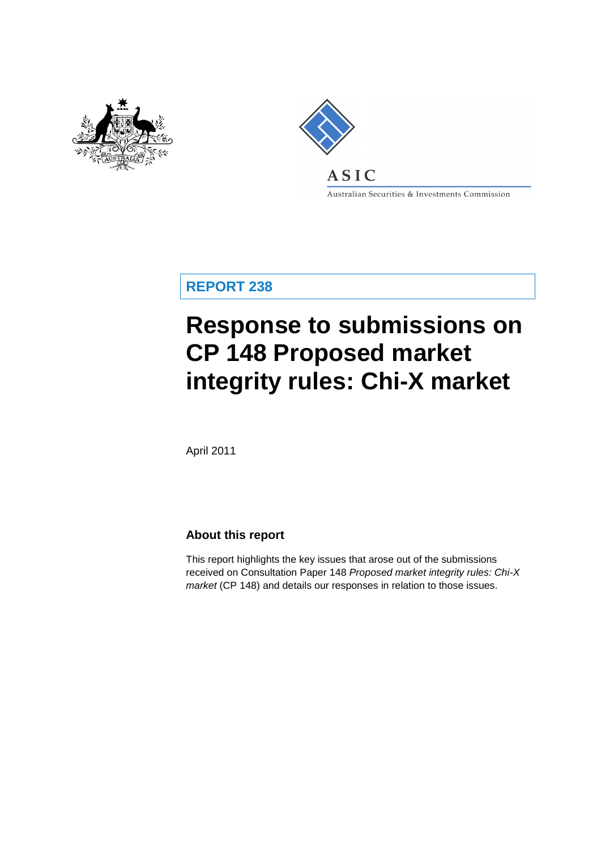



Australian Securities & Investments Commission

**REPORT 238**

# **Response to submissions on CP 148 Proposed market integrity rules: Chi-X market**

April 2011

### **About this report**

This report highlights the key issues that arose out of the submissions received on Consultation Paper 148 *Proposed market integrity rules: Chi-X market* (CP 148) and details our responses in relation to those issues.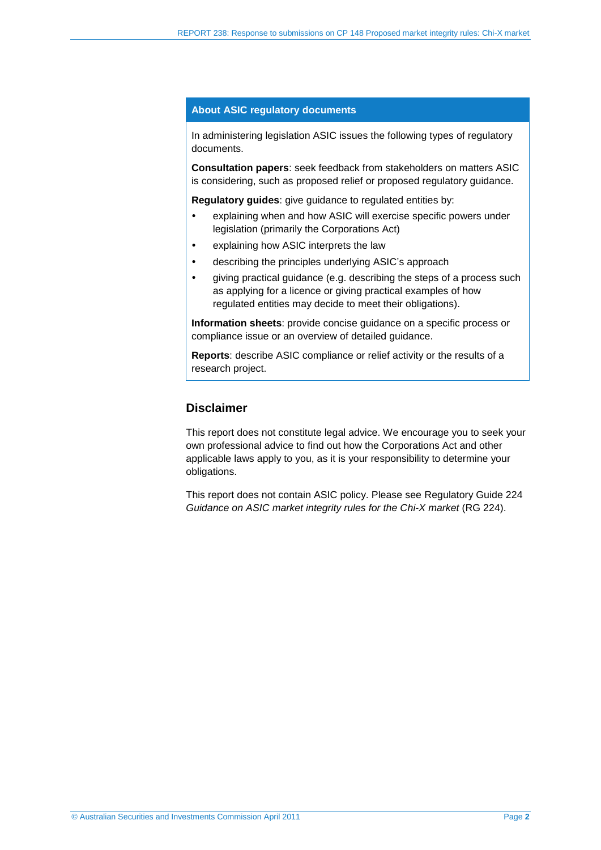#### **About ASIC regulatory documents**

In administering legislation ASIC issues the following types of regulatory documents.

**Consultation papers**: seek feedback from stakeholders on matters ASIC is considering, such as proposed relief or proposed regulatory guidance.

**Regulatory guides**: give guidance to regulated entities by:

- explaining when and how ASIC will exercise specific powers under legislation (primarily the Corporations Act)
- explaining how ASIC interprets the law
- describing the principles underlying ASIC's approach
- giving practical guidance (e.g. describing the steps of a process such as applying for a licence or giving practical examples of how regulated entities may decide to meet their obligations).

**Information sheets**: provide concise guidance on a specific process or compliance issue or an overview of detailed guidance.

**Reports**: describe ASIC compliance or relief activity or the results of a research project.

#### **Disclaimer**

This report does not constitute legal advice. We encourage you to seek your own professional advice to find out how the Corporations Act and other applicable laws apply to you, as it is your responsibility to determine your obligations.

This report does not contain ASIC policy. Please see Regulatory Guide 224 *Guidance on ASIC market integrity rules for the Chi-X market* (RG 224).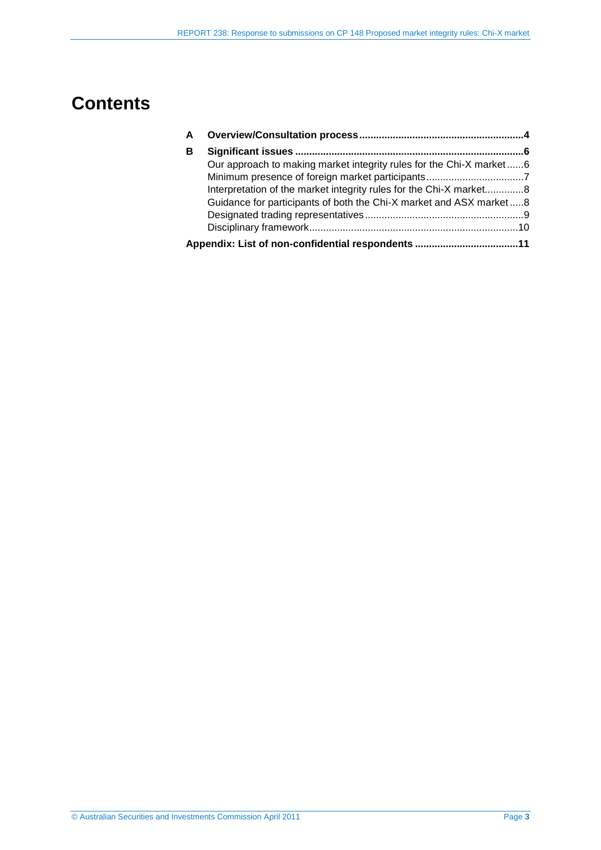## **Contents**

| A |                                                                     |  |
|---|---------------------------------------------------------------------|--|
| В |                                                                     |  |
|   | Our approach to making market integrity rules for the Chi-X market6 |  |
|   |                                                                     |  |
|   | Interpretation of the market integrity rules for the Chi-X market8  |  |
|   | Guidance for participants of both the Chi-X market and ASX market8  |  |
|   |                                                                     |  |
|   |                                                                     |  |
|   | Appendix: List of non-confidential respondents 11                   |  |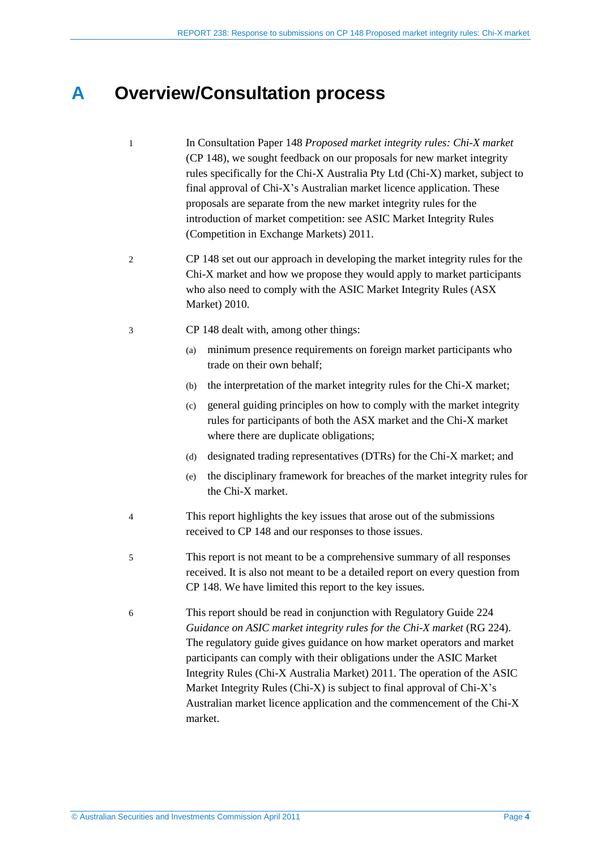## <span id="page-3-0"></span>**A Overview/Consultation process**

- 1 In Consultation Paper 148 *Proposed market integrity rules: Chi-X market*  (CP 148), we sought feedback on our proposals for new market integrity rules specifically for the Chi-X Australia Pty Ltd (Chi-X) market, subject to final approval of Chi-X's Australian market licence application. These proposals are separate from the new market integrity rules for the introduction of market competition: see ASIC Market Integrity Rules (Competition in Exchange Markets) 2011.
- 2 CP 148 set out our approach in developing the market integrity rules for the Chi-X market and how we propose they would apply to market participants who also need to comply with the ASIC Market Integrity Rules (ASX Market) 2010.
- 3 CP 148 dealt with, among other things:
	- (a) minimum presence requirements on foreign market participants who trade on their own behalf;
	- (b) the interpretation of the market integrity rules for the Chi-X market;
	- (c) general guiding principles on how to comply with the market integrity rules for participants of both the ASX market and the Chi-X market where there are duplicate obligations;
	- (d) designated trading representatives (DTRs) for the Chi-X market; and
	- (e) the disciplinary framework for breaches of the market integrity rules for the Chi-X market.
- 4 This report highlights the key issues that arose out of the submissions received to CP 148 and our responses to those issues.
- 5 This report is not meant to be a comprehensive summary of all responses received. It is also not meant to be a detailed report on every question from CP 148. We have limited this report to the key issues.
- 6 This report should be read in conjunction with Regulatory Guide 224 *Guidance on ASIC market integrity rules for the Chi-X market* (RG 224). The regulatory guide gives guidance on how market operators and market participants can comply with their obligations under the ASIC Market Integrity Rules (Chi-X Australia Market) 2011. The operation of the ASIC Market Integrity Rules (Chi-X) is subject to final approval of Chi-X's Australian market licence application and the commencement of the Chi-X market.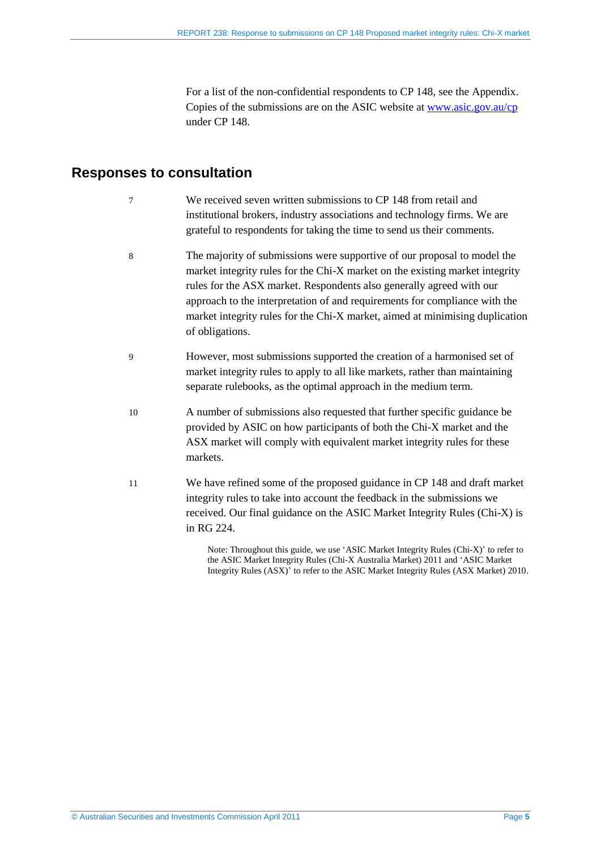For a list of the non-confidential respondents to CP 148, see the Appendix. Copies of the submissions are on the ASIC website at [www.asic.gov.au/cp](http://www.asic.gov.au/cp) under CP 148.

### **Responses to consultation**

- 7 We received seven written submissions to CP 148 from retail and institutional brokers, industry associations and technology firms. We are grateful to respondents for taking the time to send us their comments.
- 8 The majority of submissions were supportive of our proposal to model the market integrity rules for the Chi-X market on the existing market integrity rules for the ASX market. Respondents also generally agreed with our approach to the interpretation of and requirements for compliance with the market integrity rules for the Chi-X market, aimed at minimising duplication of obligations.
- 9 However, most submissions supported the creation of a harmonised set of market integrity rules to apply to all like markets, rather than maintaining separate rulebooks, as the optimal approach in the medium term.
- 10 A number of submissions also requested that further specific guidance be provided by ASIC on how participants of both the Chi-X market and the ASX market will comply with equivalent market integrity rules for these markets.
- 11 We have refined some of the proposed guidance in CP 148 and draft market integrity rules to take into account the feedback in the submissions we received. Our final guidance on the ASIC Market Integrity Rules (Chi-X) is in RG 224.

Note: Throughout this guide, we use 'ASIC Market Integrity Rules (Chi-X)' to refer to the ASIC Market Integrity Rules (Chi-X Australia Market) 2011 and 'ASIC Market Integrity Rules (ASX)' to refer to the ASIC Market Integrity Rules (ASX Market) 2010.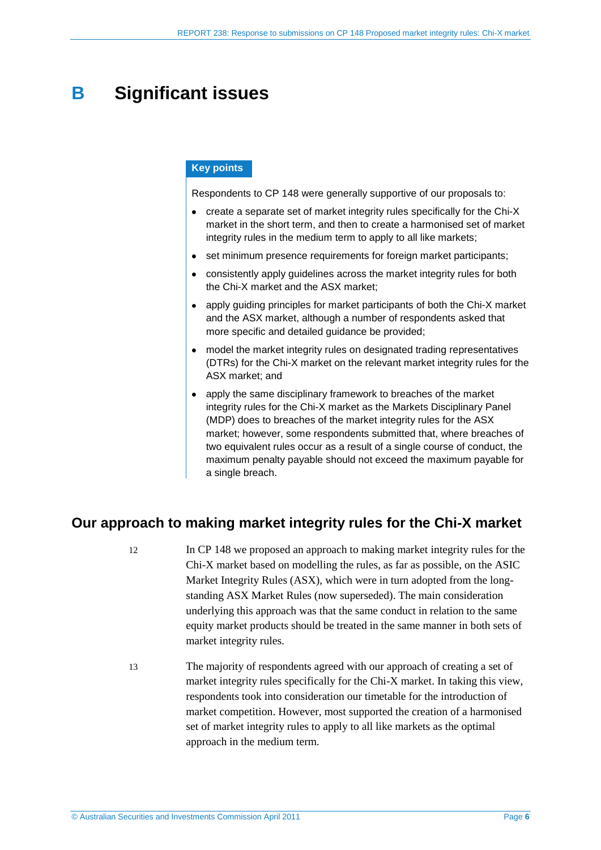## <span id="page-5-0"></span>**B Significant issues**

#### **Key points**

Respondents to CP 148 were generally supportive of our proposals to:

- create a separate set of market integrity rules specifically for the Chi-X market in the short term, and then to create a harmonised set of market integrity rules in the medium term to apply to all like markets;
- set minimum presence requirements for foreign market participants;
- consistently apply guidelines across the market integrity rules for both the Chi-X market and the ASX market;
- apply guiding principles for market participants of both the Chi-X market and the ASX market, although a number of respondents asked that more specific and detailed guidance be provided;
- model the market integrity rules on designated trading representatives (DTRs) for the Chi-X market on the relevant market integrity rules for the ASX market; and
- apply the same disciplinary framework to breaches of the market integrity rules for the Chi-X market as the Markets Disciplinary Panel (MDP) does to breaches of the market integrity rules for the ASX market; however, some respondents submitted that, where breaches of two equivalent rules occur as a result of a single course of conduct, the maximum penalty payable should not exceed the maximum payable for a single breach.

## <span id="page-5-1"></span>**Our approach to making market integrity rules for the Chi-X market**

- 12 In CP 148 we proposed an approach to making market integrity rules for the Chi-X market based on modelling the rules, as far as possible, on the ASIC Market Integrity Rules (ASX), which were in turn adopted from the longstanding ASX Market Rules (now superseded). The main consideration underlying this approach was that the same conduct in relation to the same equity market products should be treated in the same manner in both sets of market integrity rules.
- 13 The majority of respondents agreed with our approach of creating a set of market integrity rules specifically for the Chi-X market. In taking this view, respondents took into consideration our timetable for the introduction of market competition. However, most supported the creation of a harmonised set of market integrity rules to apply to all like markets as the optimal approach in the medium term.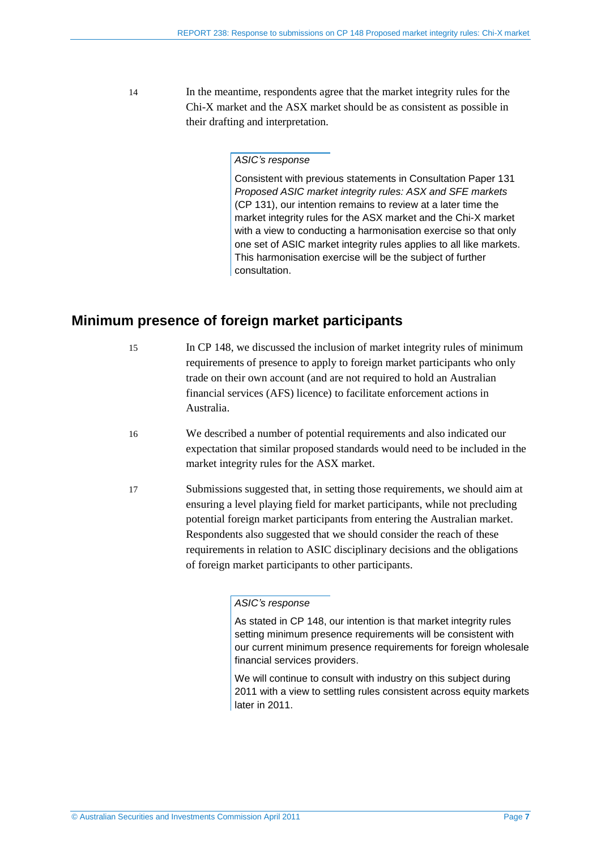14 In the meantime, respondents agree that the market integrity rules for the Chi-X market and the ASX market should be as consistent as possible in their drafting and interpretation.

#### *ASIC's response*

Consistent with previous statements in Consultation Paper 131 *Proposed ASIC market integrity rules: ASX and SFE markets*  (CP 131), our intention remains to review at a later time the market integrity rules for the ASX market and the Chi-X market with a view to conducting a harmonisation exercise so that only one set of ASIC market integrity rules applies to all like markets. This harmonisation exercise will be the subject of further consultation.

### <span id="page-6-0"></span>**Minimum presence of foreign market participants**

- 15 In CP 148, we discussed the inclusion of market integrity rules of minimum requirements of presence to apply to foreign market participants who only trade on their own account (and are not required to hold an Australian financial services (AFS) licence) to facilitate enforcement actions in Australia.
- 16 We described a number of potential requirements and also indicated our expectation that similar proposed standards would need to be included in the market integrity rules for the ASX market.
- 17 Submissions suggested that, in setting those requirements, we should aim at ensuring a level playing field for market participants, while not precluding potential foreign market participants from entering the Australian market. Respondents also suggested that we should consider the reach of these requirements in relation to ASIC disciplinary decisions and the obligations of foreign market participants to other participants.

#### *ASIC's response*

We will continue to consult with industry on this subject during 2011 with a view to settling rules consistent across equity markets later in 2011.

As stated in CP 148, our intention is that market integrity rules setting minimum presence requirements will be consistent with our current minimum presence requirements for foreign wholesale financial services providers.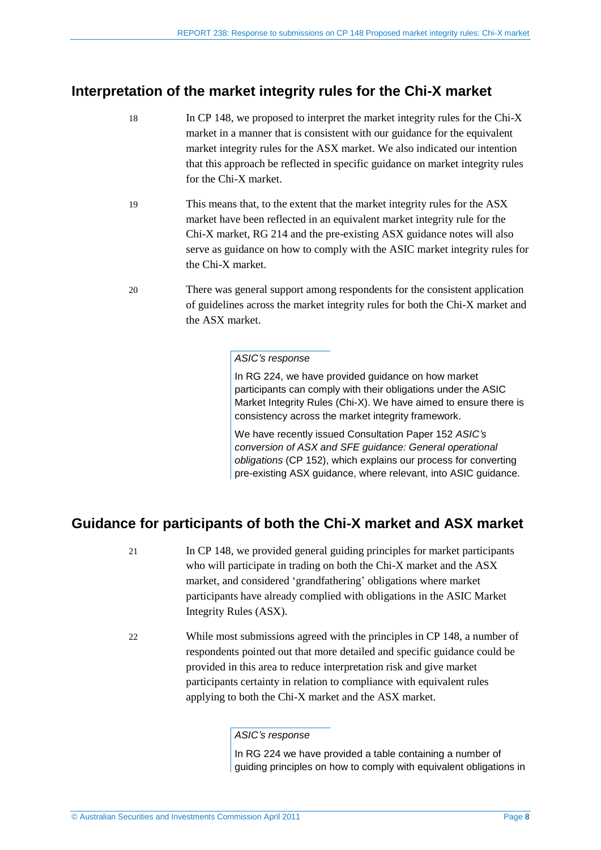## <span id="page-7-0"></span>**Interpretation of the market integrity rules for the Chi-X market**

- 18 In CP 148, we proposed to interpret the market integrity rules for the Chi-X market in a manner that is consistent with our guidance for the equivalent market integrity rules for the ASX market. We also indicated our intention that this approach be reflected in specific guidance on market integrity rules for the Chi-X market.
- 19 This means that, to the extent that the market integrity rules for the ASX market have been reflected in an equivalent market integrity rule for the Chi-X market, RG 214 and the pre-existing ASX guidance notes will also serve as guidance on how to comply with the ASIC market integrity rules for the Chi-X market.
- 20 There was general support among respondents for the consistent application of guidelines across the market integrity rules for both the Chi-X market and the ASX market.

#### *ASIC's response*

In RG 224, we have provided guidance on how market participants can comply with their obligations under the ASIC Market Integrity Rules (Chi-X). We have aimed to ensure there is consistency across the market integrity framework.

We have recently issued Consultation Paper 152 *ASIC's conversion of ASX and SFE guidance: General operational obligations* (CP 152), which explains our process for converting pre-existing ASX guidance, where relevant, into ASIC guidance.

## <span id="page-7-1"></span>**Guidance for participants of both the Chi-X market and ASX market**

- 21 In CP 148, we provided general guiding principles for market participants who will participate in trading on both the Chi-X market and the ASX market, and considered 'grandfathering' obligations where market participants have already complied with obligations in the ASIC Market Integrity Rules (ASX).
- 22 While most submissions agreed with the principles in CP 148, a number of respondents pointed out that more detailed and specific guidance could be provided in this area to reduce interpretation risk and give market participants certainty in relation to compliance with equivalent rules applying to both the Chi-X market and the ASX market.

#### *ASIC's response*

In RG 224 we have provided a table containing a number of guiding principles on how to comply with equivalent obligations in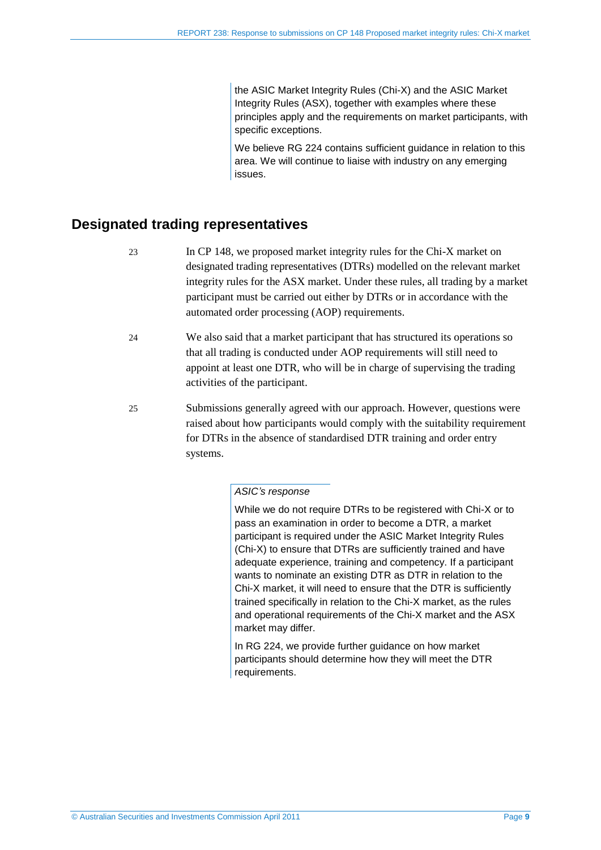the ASIC Market Integrity Rules (Chi-X) and the ASIC Market Integrity Rules (ASX), together with examples where these principles apply and the requirements on market participants, with specific exceptions.

We believe RG 224 contains sufficient guidance in relation to this area. We will continue to liaise with industry on any emerging issues.

### <span id="page-8-0"></span>**Designated trading representatives**

- 23 In CP 148, we proposed market integrity rules for the Chi-X market on designated trading representatives (DTRs) modelled on the relevant market integrity rules for the ASX market. Under these rules, all trading by a market participant must be carried out either by DTRs or in accordance with the automated order processing (AOP) requirements.
- 24 We also said that a market participant that has structured its operations so that all trading is conducted under AOP requirements will still need to appoint at least one DTR, who will be in charge of supervising the trading activities of the participant.
- 25 Submissions generally agreed with our approach. However, questions were raised about how participants would comply with the suitability requirement for DTRs in the absence of standardised DTR training and order entry systems.

#### *ASIC's response*

While we do not require DTRs to be registered with Chi-X or to pass an examination in order to become a DTR, a market participant is required under the ASIC Market Integrity Rules (Chi-X) to ensure that DTRs are sufficiently trained and have adequate experience, training and competency. If a participant wants to nominate an existing DTR as DTR in relation to the Chi-X market, it will need to ensure that the DTR is sufficiently trained specifically in relation to the Chi-X market, as the rules and operational requirements of the Chi-X market and the ASX market may differ.

In RG 224, we provide further guidance on how market participants should determine how they will meet the DTR requirements.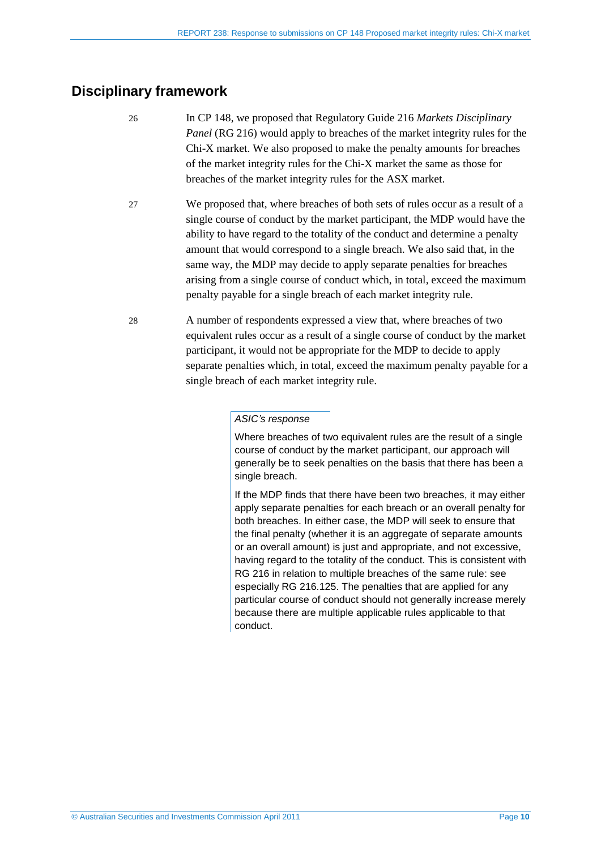## <span id="page-9-0"></span>**Disciplinary framework**

- 26 In CP 148, we proposed that Regulatory Guide 216 *Markets Disciplinary Panel* (RG 216) would apply to breaches of the market integrity rules for the Chi-X market. We also proposed to make the penalty amounts for breaches of the market integrity rules for the Chi-X market the same as those for breaches of the market integrity rules for the ASX market.
- 27 We proposed that, where breaches of both sets of rules occur as a result of a single course of conduct by the market participant, the MDP would have the ability to have regard to the totality of the conduct and determine a penalty amount that would correspond to a single breach. We also said that, in the same way, the MDP may decide to apply separate penalties for breaches arising from a single course of conduct which, in total, exceed the maximum penalty payable for a single breach of each market integrity rule.
- 28 A number of respondents expressed a view that, where breaches of two equivalent rules occur as a result of a single course of conduct by the market participant, it would not be appropriate for the MDP to decide to apply separate penalties which, in total, exceed the maximum penalty payable for a single breach of each market integrity rule.

#### *ASIC's response*

Where breaches of two equivalent rules are the result of a single course of conduct by the market participant, our approach will generally be to seek penalties on the basis that there has been a single breach.

If the MDP finds that there have been two breaches, it may either apply separate penalties for each breach or an overall penalty for both breaches. In either case, the MDP will seek to ensure that the final penalty (whether it is an aggregate of separate amounts or an overall amount) is just and appropriate, and not excessive, having regard to the totality of the conduct. This is consistent with RG 216 in relation to multiple breaches of the same rule: see especially RG 216.125. The penalties that are applied for any particular course of conduct should not generally increase merely because there are multiple applicable rules applicable to that conduct.